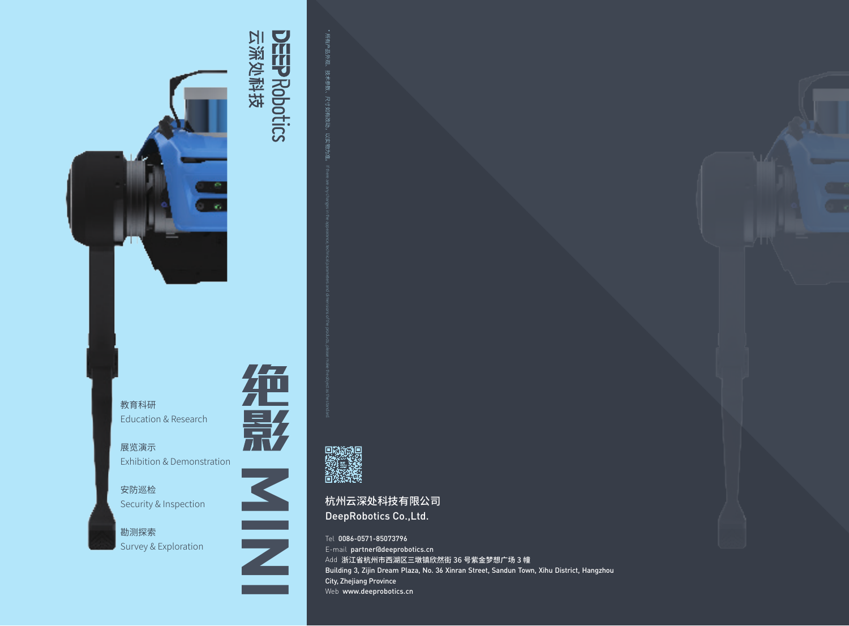

## 云深处科技 **DEEPRobotics**



展览演示 Exhibition & Demonstration

安防巡检 Security & Inspection

勘测探索 Survey & Exploration



**MINI**



杭州云深处科技有限公司<br>DeepRobotics Co.,Ltd. DeepRobotics Co.,Ltd. \* 所州云深处科技有限公司, http://www.anathrop.com/any changes in the appearance, please make the products, please make the products, please make the products, please make the products, please make the standard.

Tel 0086-0571-85073796 E-mail partner@deeprobotics.cn Add 浙江省杭州市西湖区三墩镇欣然街 36 号紫金梦想广场 3 幢 Building 3, Zijin Dream Plaza, No. 36 Xinran Street, Sandun Town, Xihu District, Hangzhou City, Zhejiang Province Web www.deeprobotics.cn